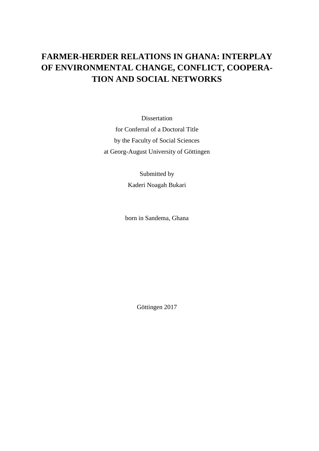## **FARMER-HERDER RELATIONS IN GHANA: INTERPLAY OF ENVIRONMENTAL CHANGE, CONFLICT, COOPERA-TION AND SOCIAL NETWORKS**

Dissertation for Conferral of a Doctoral Title by the Faculty of Social Sciences at Georg-August University of Göttingen

> Submitted by Kaderi Noagah Bukari

born in Sandema, Ghana

Göttingen 2017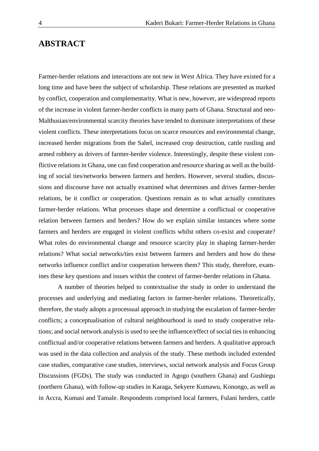## **ABSTRACT**

Farmer-herder relations and interactions are not new in West Africa. They have existed for a long time and have been the subject of scholarship. These relations are presented as marked by conflict, cooperation and complementarity. What is new, however, are widespread reports of the increase in violent farmer-herder conflicts in many parts of Ghana. Structural and neo-Malthusian/environmental scarcity theories have tended to dominate interpretations of these violent conflicts. These interpretations focus on scarce resources and environmental change, increased herder migrations from the Sahel, increased crop destruction, cattle rustling and armed robbery as drivers of farmer-herder violence. Interestingly, despite these violent conflictive relations in Ghana, one can find cooperation and resource sharing as well as the building of social ties/networks between farmers and herders. However, several studies, discussions and discourse have not actually examined what determines and drives farmer-herder relations, be it conflict or cooperation. Questions remain as to what actually constitutes farmer-herder relations. What processes shape and determine a conflictual or cooperative relation between farmers and herders? How do we explain similar instances where some farmers and herders are engaged in violent conflicts whilst others co-exist and cooperate? What roles do environmental change and resource scarcity play in shaping farmer-herder relations? What social networks/ties exist between farmers and herders and how do these networks influence conflict and/or cooperation between them? This study, therefore, examines these key questions and issues within the context of farmer-herder relations in Ghana.

A number of theories helped to contextualise the study in order to understand the processes and underlying and mediating factors in farmer-herder relations. Theoretically, therefore, the study adopts a processual approach in studying the escalation of farmer-herder conflicts; a conceptualisation of cultural neighbourhood is used to study cooperative relations; and social network analysis is used to see the influence/effect of social ties in enhancing conflictual and/or cooperative relations between farmers and herders. A qualitative approach was used in the data collection and analysis of the study. These methods included extended case studies, comparative case studies, interviews, social network analysis and Focus Group Discussions (FGDs). The study was conducted in Agogo (southern Ghana) and Gushiegu (northern Ghana), with follow-up studies in Karaga, Sekyere Kumawu, Konongo, as well as in Accra, Kumasi and Tamale. Respondents comprised local farmers, Fulani herders, cattle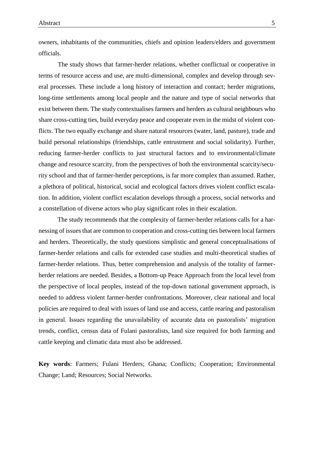owners, inhabitants of the communities, chiefs and opinion leaders/elders and government officials.

The study shows that farmer-herder relations, whether conflictual or cooperative in terms of resource access and use, are multi-dimensional, complex and develop through several processes. These include a long history of interaction and contact; herder migrations, long-time settlements among local people and the nature and type of social networks that exist between them. The study contextualises farmers and herders as cultural neighbours who share cross-cutting ties, build everyday peace and cooperate even in the midst of violent conflicts. The two equally exchange and share natural resources (water, land, pasture), trade and build personal relationships (friendships, cattle entrustment and social solidarity). Further, reducing farmer-herder conflicts to just structural factors and to environmental/climate change and resource scarcity, from the perspectives of both the environmental scarcity/security school and that of farmer-herder perceptions, is far more complex than assumed. Rather, a plethora of political, historical, social and ecological factors drives violent conflict escalation. In addition, violent conflict escalation develops through a process, social networks and a constellation of diverse actors who play significant roles in their escalation.

The study recommends that the complexity of farmer-herder relations calls for a harnessing of issues that are common to cooperation and cross-cutting ties between local farmers and herders. Theoretically, the study questions simplistic and general conceptualisations of farmer-herder relations and calls for extended case studies and multi-theoretical studies of farmer-herder relations. Thus, better comprehension and analysis of the totality of farmerherder relations are needed. Besides, a Bottom-up Peace Approach from the local level from the perspective of local peoples, instead of the top-down national government approach, is needed to address violent farmer-herder confrontations. Moreover, clear national and local policies are required to deal with issues of land use and access, cattle rearing and pastoralism in general. Issues regarding the unavailability of accurate data on pastoralists' migration trends, conflict, census data of Fulani pastoralists, land size required for both farming and cattle keeping and climatic data must also be addressed.

**Key words**: Farmers; Fulani Herders; Ghana; Conflicts; Cooperation; Environmental Change; Land; Resources; Social Networks.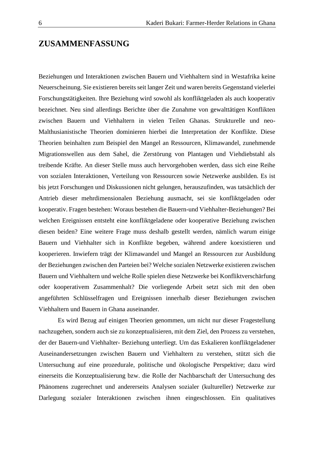## **ZUSAMMENFASSUNG**

Beziehungen und Interaktionen zwischen Bauern und Viehhaltern sind in Westafrika keine Neuerscheinung. Sie existieren bereits seit langer Zeit und waren bereits Gegenstand vielerlei Forschungstätigkeiten. Ihre Beziehung wird sowohl als konfliktgeladen als auch kooperativ bezeichnet. Neu sind allerdings Berichte über die Zunahme von gewalttätigen Konflikten zwischen Bauern und Viehhaltern in vielen Teilen Ghanas. Strukturelle und neo-Malthusianistische Theorien dominieren hierbei die Interpretation der Konflikte. Diese Theorien beinhalten zum Beispiel den Mangel an Ressourcen, Klimawandel, zunehmende Migrationswellen aus dem Sahel, die Zerstörung von Plantagen und Viehdiebstahl als treibende Kräfte. An dieser Stelle muss auch hervorgehoben werden, dass sich eine Reihe von sozialen Interaktionen, Verteilung von Ressourcen sowie Netzwerke ausbilden. Es ist bis jetzt Forschungen und Diskussionen nicht gelungen, herauszufinden, was tatsächlich der Antrieb dieser mehrdimensionalen Beziehung ausmacht, sei sie konfliktgeladen oder kooperativ. Fragen bestehen: Woraus bestehen die Bauern-und Viehhalter-Beziehungen? Bei welchen Ereignissen entsteht eine konfliktgeladene oder kooperative Beziehung zwischen diesen beiden? Eine weitere Frage muss deshalb gestellt werden, nämlich warum einige Bauern und Viehhalter sich in Konflikte begeben, während andere koexistieren und kooperieren. Inwiefern trägt der Klimawandel und Mangel an Ressourcen zur Ausbildung der Beziehungen zwischen den Parteien bei? Welche sozialen Netzwerke existieren zwischen Bauern und Viehhaltern und welche Rolle spielen diese Netzwerke bei Konfliktverschärfung oder kooperativem Zusammenhalt? Die vorliegende Arbeit setzt sich mit den oben angeführten Schlüsselfragen und Ereignissen innerhalb dieser Beziehungen zwischen Viehhaltern und Bauern in Ghana auseinander.

Es wird Bezug auf einigen Theorien genommen, um nicht nur dieser Fragestellung nachzugehen, sondern auch sie zu konzeptualisieren, mit dem Ziel, den Prozess zu verstehen, der der Bauern-und Viehhalter- Beziehung unterliegt. Um das Eskalieren konfliktgeladener Auseinandersetzungen zwischen Bauern und Viehhaltern zu verstehen, stützt sich die Untersuchung auf eine prozedurale, politische und ökologische Perspektive; dazu wird einerseits die Konzeptualisierung bzw. die Rolle der Nachbarschaft der Untersuchung des Phänomens zugerechnet und andererseits Analysen sozialer (kultureller) Netzwerke zur Darlegung sozialer Interaktionen zwischen ihnen eingeschlossen. Ein qualitatives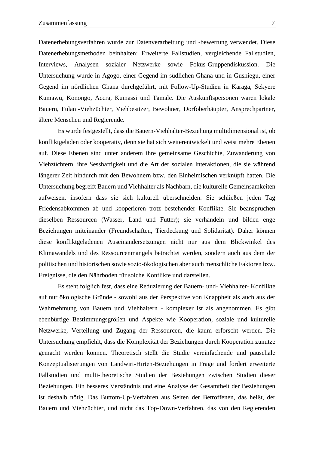Datenerhebungsverfahren wurde zur Datenverarbeitung und -bewertung verwendet. Diese Datenerhebungsmethoden beinhalten: Erweiterte Fallstudien, vergleichende Fallstudien, Interviews, Analysen sozialer Netzwerke sowie Fokus-Gruppendiskussion. Die Untersuchung wurde in Agogo, einer Gegend im südlichen Ghana und in Gushiegu, einer Gegend im nördlichen Ghana durchgeführt, mit Follow-Up-Studien in Karaga, Sekyere Kumawu, Konongo, Accra, Kumassi und Tamale. Die Auskunftspersonen waren lokale Bauern, Fulani-Viehzüchter, Viehbesitzer, Bewohner, Dorfoberhäupter, Ansprechpartner, ältere Menschen und Regierende.

Es wurde festgestellt, dass die Bauern-Viehhalter-Beziehung multidimensional ist, ob konfliktgeladen oder kooperativ, denn sie hat sich weiterentwickelt und weist mehre Ebenen auf. Diese Ebenen sind unter anderem ihre gemeinsame Geschichte, Zuwanderung von Viehzüchtern, ihre Sesshaftigkeit und die Art der sozialen Interaktionen, die sie während längerer Zeit hindurch mit den Bewohnern bzw. den Einheimischen verknüpft hatten. Die Untersuchung begreift Bauern und Viehhalter als Nachbarn, die kulturelle Gemeinsamkeiten aufweisen, insofern dass sie sich kulturell überschneiden. Sie schließen jeden Tag Friedensabkommen ab und kooperieren trotz bestehender Konflikte. Sie beanspruchen dieselben Ressourcen (Wasser, Land und Futter); sie verhandeln und bilden enge Beziehungen miteinander (Freundschaften, Tierdeckung und Solidarität). Daher können diese konfliktgeladenen Auseinandersetzungen nicht nur aus dem Blickwinkel des Klimawandels und des Ressourcenmangels betrachtet werden, sondern auch aus dem der politischen und historischen sowie sozio-ökologischen aber auch menschliche Faktoren bzw. Ereignisse, die den Nährboden für solche Konflikte und darstellen.

Es steht folglich fest, dass eine Reduzierung der Bauern- und- Viehhalter- Konflikte auf nur ökologische Gründe - sowohl aus der Perspektive von Knappheit als auch aus der Wahrnehmung von Bauern und Viehhaltern - komplexer ist als angenommen. Es gibt ebenbürtige Bestimmungsgrößen und Aspekte wie Kooperation, soziale und kulturelle Netzwerke, Verteilung und Zugang der Ressourcen, die kaum erforscht werden. Die Untersuchung empfiehlt, dass die Komplexität der Beziehungen durch Kooperation zunutze gemacht werden können. Theoretisch stellt die Studie vereinfachende und pauschale Konzeptualisierungen von Landwirt-Hirten-Beziehungen in Frage und fordert erweiterte Fallstudien und multi-theoretische Studien der Beziehungen zwischen Studien dieser Beziehungen. Ein besseres Verständnis und eine Analyse der Gesamtheit der Beziehungen ist deshalb nötig. Das Buttom-Up-Verfahren aus Seiten der Betroffenen, das heißt, der Bauern und Viehzüchter, und nicht das Top-Down-Verfahren, das von den Regierenden